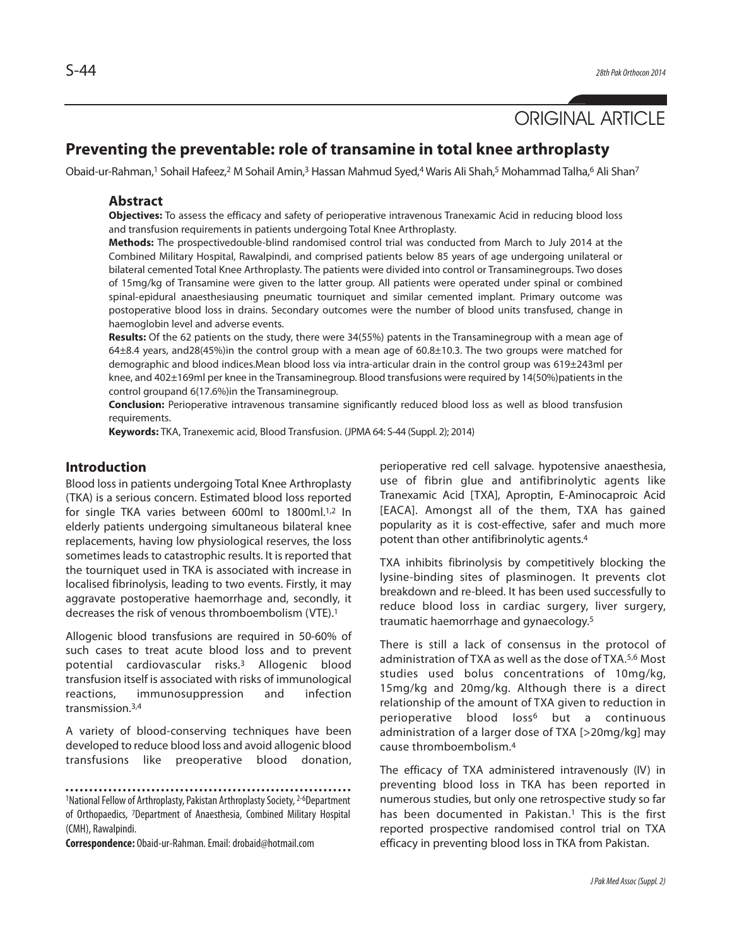# ORIGINAL ARTICLE

# **Preventing the preventable: role of transamine in total knee arthroplasty**

Obaid-ur-Rahman,<sup>1</sup> Sohail Hafeez,<sup>2</sup> M Sohail Amin,<sup>3</sup> Hassan Mahmud Syed,<sup>4</sup> Waris Ali Shah,<sup>5</sup> Mohammad Talha,<sup>6</sup> Ali Shan<sup>7</sup>

#### **Abstract**

**Objectives:** To assess the efficacy and safety of perioperative intravenous Tranexamic Acid in reducing blood loss and transfusion requirements in patients undergoing Total Knee Arthroplasty.

**Methods:** The prospectivedouble-blind randomised control trial was conducted from March to July 2014 at the Combined Military Hospital, Rawalpindi, and comprised patients below 85 years of age undergoing unilateral or bilateral cemented Total Knee Arthroplasty. The patients were divided into control or Transaminegroups. Two doses of 15mg/kg of Transamine were given to the latter group. All patients were operated under spinal or combined spinal-epidural anaesthesiausing pneumatic tourniquet and similar cemented implant. Primary outcome was postoperative blood loss in drains. Secondary outcomes were the number of blood units transfused, change in haemoglobin level and adverse events.

**Results:** Of the 62 patients on the study, there were 34(55%) patents in the Transaminegroup with a mean age of 64±8.4 years, and28(45%)in the control group with a mean age of 60.8±10.3. The two groups were matched for demographic and blood indices.Mean blood loss via intra-articular drain in the control group was 619±243ml per knee, and 402±169ml per knee in the Transaminegroup. Blood transfusions were required by 14(50%)patients in the control groupand 6(17.6%)in the Transaminegroup.

**Conclusion:** Perioperative intravenous transamine significantly reduced blood loss as well as blood transfusion requirements.

**Keywords:** TKA, Tranexemic acid, Blood Transfusion. (JPMA 64: S-44 (Suppl. 2); 2014)

## **Introduction**

Blood loss in patients undergoing Total Knee Arthroplasty (TKA) is a serious concern. Estimated blood loss reported for single TKA varies between 600ml to 1800ml.1,2 In elderly patients undergoing simultaneous bilateral knee replacements, having low physiological reserves, the loss sometimes leads to catastrophic results. It is reported that the tourniquet used in TKA is associated with increase in localised fibrinolysis, leading to two events. Firstly, it may aggravate postoperative haemorrhage and, secondly, it decreases the risk of venous thromboembolism (VTE).<sup>1</sup>

Allogenic blood transfusions are required in 50-60% of such cases to treat acute blood loss and to prevent potential cardiovascular risks.<sup>3</sup> Allogenic blood transfusion itself is associated with risks of immunological reactions, immunosuppression and infection transmission.3,4

A variety of blood-conserving techniques have been developed to reduce blood loss and avoid allogenic blood transfusions like preoperative blood donation,

**Correspondence:** Obaid-ur-Rahman. Email: drobaid@hotmail.com

perioperative red cell salvage. hypotensive anaesthesia, use of fibrin glue and antifibrinolytic agents like Tranexamic Acid [TXA], Aproptin, E-Aminocaproic Acid [EACA]. Amongst all of the them, TXA has gained popularity as it is cost-effective, safer and much more potent than other antifibrinolytic agents.<sup>4</sup>

TXA inhibits fibrinolysis by competitively blocking the lysine-binding sites of plasminogen. It prevents clot breakdown and re-bleed. It has been used successfully to reduce blood loss in cardiac surgery, liver surgery, traumatic haemorrhage and gynaecology.<sup>5</sup>

There is still a lack of consensus in the protocol of administration of TXA as well as the dose of TXA.5,6 Most studies used bolus concentrations of 10mg/kg, 15mg/kg and 20mg/kg. Although there is a direct relationship of the amount of TXA given to reduction in perioperative blood loss<sup>6</sup> but a continuous administration of a larger dose of TXA [>20mg/kg] may cause thromboembolism.<sup>4</sup>

The efficacy of TXA administered intravenously (IV) in preventing blood loss in TKA has been reported in numerous studies, but only one retrospective study so far has been documented in Pakistan.<sup>1</sup> This is the first reported prospective randomised control trial on TXA efficacy in preventing blood loss in TKA from Pakistan.

<sup>1</sup>National Fellow of Arthroplasty, Pakistan Arthroplasty Society, 2-6Department of Orthopaedics, <sup>7</sup>Department of Anaesthesia, Combined Military Hospital (CMH), Rawalpindi.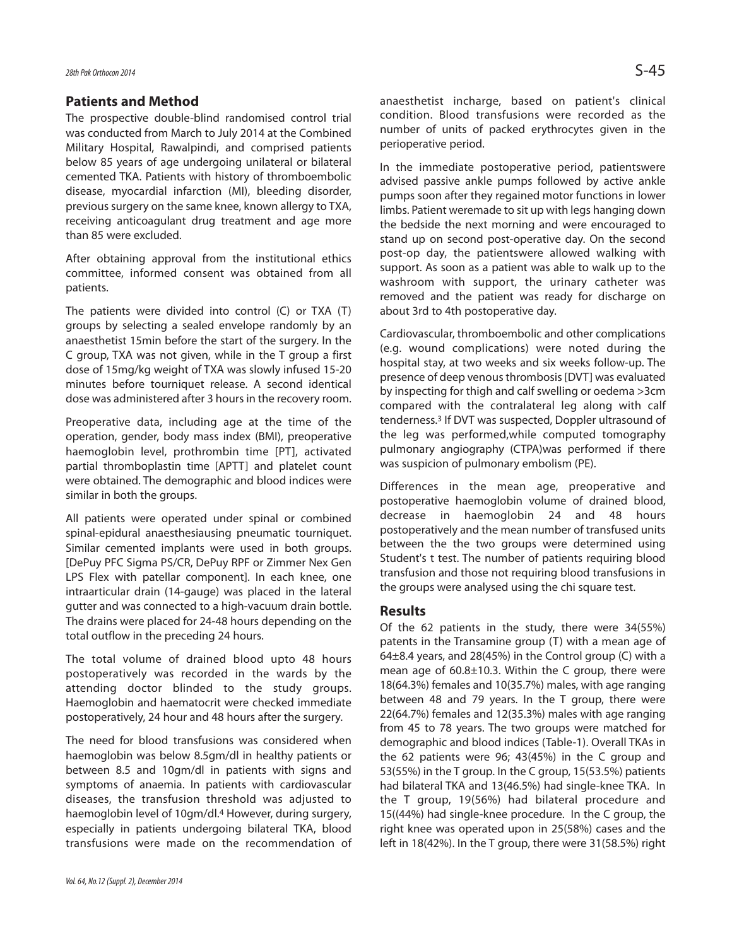#### **Patients and Method**

The prospective double-blind randomised control trial was conducted from March to July 2014 at the Combined Military Hospital, Rawalpindi, and comprised patients below 85 years of age undergoing unilateral or bilateral cemented TKA. Patients with history of thromboembolic disease, myocardial infarction (MI), bleeding disorder, previous surgery on the same knee, known allergy to TXA, receiving anticoagulant drug treatment and age more than 85 were excluded.

After obtaining approval from the institutional ethics committee, informed consent was obtained from all patients.

The patients were divided into control (C) or TXA (T) groups by selecting a sealed envelope randomly by an anaesthetist 15min before the start of the surgery. In the C group, TXA was not given, while in the T group a first dose of 15mg/kg weight of TXA was slowly infused 15-20 minutes before tourniquet release. A second identical dose was administered after 3 hours in the recovery room.

Preoperative data, including age at the time of the operation, gender, body mass index (BMI), preoperative haemoglobin level, prothrombin time [PT], activated partial thromboplastin time [APTT] and platelet count were obtained. The demographic and blood indices were similar in both the groups.

All patients were operated under spinal or combined spinal-epidural anaesthesiausing pneumatic tourniquet. Similar cemented implants were used in both groups. [DePuy PFC Sigma PS/CR, DePuy RPF or Zimmer Nex Gen LPS Flex with patellar component]. In each knee, one intraarticular drain (14-gauge) was placed in the lateral gutter and was connected to a high-vacuum drain bottle. The drains were placed for 24-48 hours depending on the total outflow in the preceding 24 hours.

The total volume of drained blood upto 48 hours postoperatively was recorded in the wards by the attending doctor blinded to the study groups. Haemoglobin and haematocrit were checked immediate postoperatively, 24 hour and 48 hours after the surgery.

The need for blood transfusions was considered when haemoglobin was below 8.5gm/dl in healthy patients or between 8.5 and 10gm/dl in patients with signs and symptoms of anaemia. In patients with cardiovascular diseases, the transfusion threshold was adjusted to haemoglobin level of 10gm/dl.<sup>4</sup> However, during surgery, especially in patients undergoing bilateral TKA, blood transfusions were made on the recommendation of anaesthetist incharge, based on patient's clinical condition. Blood transfusions were recorded as the number of units of packed erythrocytes given in the perioperative period.

In the immediate postoperative period, patientswere advised passive ankle pumps followed by active ankle pumps soon after they regained motor functions in lower limbs. Patient weremade to sit up with legs hanging down the bedside the next morning and were encouraged to stand up on second post-operative day. On the second post-op day, the patientswere allowed walking with support. As soon as a patient was able to walk up to the washroom with support, the urinary catheter was removed and the patient was ready for discharge on about 3rd to 4th postoperative day.

Cardiovascular, thromboembolic and other complications (e.g. wound complications) were noted during the hospital stay, at two weeks and six weeks follow-up. The presence of deep venous thrombosis [DVT] was evaluated by inspecting for thigh and calf swelling or oedema >3cm compared with the contralateral leg along with calf tenderness.<sup>3</sup> If DVT was suspected, Doppler ultrasound of the leg was performed,while computed tomography pulmonary angiography (CTPA)was performed if there was suspicion of pulmonary embolism (PE).

Differences in the mean age, preoperative and postoperative haemoglobin volume of drained blood, decrease in haemoglobin 24 and 48 hours postoperatively and the mean number of transfused units between the the two groups were determined using Student's t test. The number of patients requiring blood transfusion and those not requiring blood transfusions in the groups were analysed using the chi square test.

#### **Results**

Of the 62 patients in the study, there were 34(55%) patents in the Transamine group (T) with a mean age of 64±8.4 years, and 28(45%) in the Control group (C) with a mean age of 60.8±10.3. Within the C group, there were 18(64.3%) females and 10(35.7%) males, with age ranging between 48 and 79 years. In the T group, there were 22(64.7%) females and 12(35.3%) males with age ranging from 45 to 78 years. The two groups were matched for demographic and blood indices (Table-1). Overall TKAs in the 62 patients were 96; 43(45%) in the C group and 53(55%) in the T group. In the C group, 15(53.5%) patients had bilateral TKA and 13(46.5%) had single-knee TKA. In the T group, 19(56%) had bilateral procedure and 15((44%) had single-knee procedure. In the C group, the right knee was operated upon in 25(58%) cases and the left in 18(42%). In the T group, there were 31(58.5%) right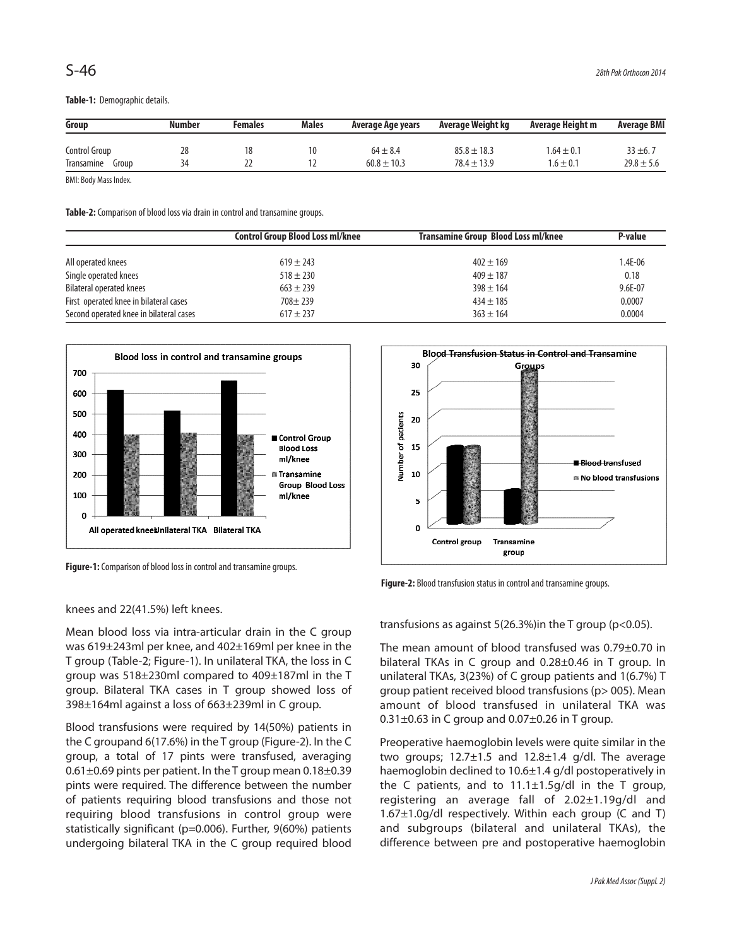**Table-1:** Demographic details.

| Group               | Number | Females | Males | Average Age years | Average Weight kg | Average Height m | <b>Average BMI</b> |
|---------------------|--------|---------|-------|-------------------|-------------------|------------------|--------------------|
| Control Group       | 28     | 18      | 10    | $64 \pm 8.4$      | $85.8 \pm 18.3$   | $.64 \pm 0.1$    | $33 \pm 6.7$       |
| Transamine<br>Group | 34     |         |       | $60.8 \pm 10.3$   | $78.4 \pm 13.9$   | $.6 \pm 0.1$     | $29.8 \pm 5.6$     |

BMI: Body Mass Index.

**Table-2:** Comparison of blood loss via drain in control and transamine groups.

|                                         | Control Group Blood Loss ml/knee | Transamine Group Blood Loss ml/knee | P-value     |
|-----------------------------------------|----------------------------------|-------------------------------------|-------------|
| All operated knees                      | $619 \pm 243$                    | $402 \pm 169$                       | $1.4E-06$   |
| Single operated knees                   | $518 + 230$                      | $409 \pm 187$                       | 0.18        |
| <b>Bilateral operated knees</b>         | $663 + 239$                      | $398 \pm 164$                       | $9.6E - 07$ |
| First operated knee in bilateral cases  | $708 + 239$                      | $434 \pm 185$                       | 0.0007      |
| Second operated knee in bilateral cases | $617 \pm 237$                    | $363 \pm 164$                       | 0.0004      |



**Figure-1:** Comparison of blood loss in control and transamine groups.

knees and 22(41.5%) left knees.

Mean blood loss via intra-articular drain in the C group was 619±243ml per knee, and 402±169ml per knee in the T group (Table-2; Figure-1). In unilateral TKA, the loss in C group was 518±230ml compared to 409±187ml in the T group. Bilateral TKA cases in T group showed loss of 398±164ml against a loss of 663±239ml in C group.

Blood transfusions were required by 14(50%) patients in the C groupand 6(17.6%) in the T group (Figure-2). In the C group, a total of 17 pints were transfused, averaging 0.61±0.69 pints per patient. In the T group mean 0.18±0.39 pints were required. The difference between the number of patients requiring blood transfusions and those not requiring blood transfusions in control group were statistically significant (p=0.006). Further, 9(60%) patients undergoing bilateral TKA in the C group required blood



**Figure-2:** Blood transfusion status in control and transamine groups.

transfusions as against 5(26.3%)in the T group (p<0.05).

The mean amount of blood transfused was 0.79±0.70 in bilateral TKAs in C group and 0.28±0.46 in T group. In unilateral TKAs, 3(23%) of C group patients and 1(6.7%) T group patient received blood transfusions (p> 005). Mean amount of blood transfused in unilateral TKA was  $0.31\pm0.63$  in C group and  $0.07\pm0.26$  in T group.

Preoperative haemoglobin levels were quite similar in the two groups;  $12.7 \pm 1.5$  and  $12.8 \pm 1.4$  g/dl. The average haemoglobin declined to 10.6±1.4 g/dl postoperatively in the C patients, and to  $11.1 \pm 1.5$  g/dl in the T group, registering an average fall of 2.02±1.19g/dl and 1.67±1.0g/dl respectively. Within each group (C and T) and subgroups (bilateral and unilateral TKAs), the difference between pre and postoperative haemoglobin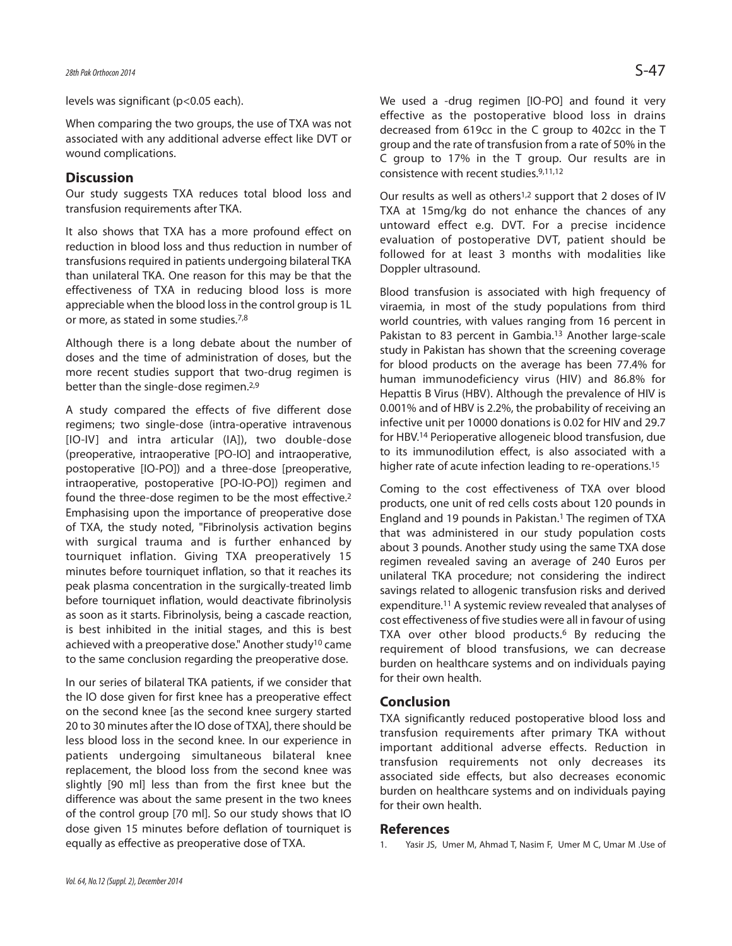levels was significant (p<0.05 each).

When comparing the two groups, the use of TXA was not associated with any additional adverse effect like DVT or wound complications.

### **Discussion**

Our study suggests TXA reduces total blood loss and transfusion requirements after TKA.

It also shows that TXA has a more profound effect on reduction in blood loss and thus reduction in number of transfusions required in patients undergoing bilateral TKA than unilateral TKA. One reason for this may be that the effectiveness of TXA in reducing blood loss is more appreciable when the blood loss in the control group is 1L or more, as stated in some studies.7,8

Although there is a long debate about the number of doses and the time of administration of doses, but the more recent studies support that two-drug regimen is better than the single-dose regimen.<sup>2,9</sup>

A study compared the effects of five different dose regimens; two single-dose (intra-operative intravenous [IO-IV] and intra articular (IA]), two double-dose (preoperative, intraoperative [PO-IO] and intraoperative, postoperative [IO-PO]) and a three-dose [preoperative, intraoperative, postoperative [PO-IO-PO]) regimen and found the three-dose regimen to be the most effective.<sup>2</sup> Emphasising upon the importance of preoperative dose of TXA, the study noted, "Fibrinolysis activation begins with surgical trauma and is further enhanced by tourniquet inflation. Giving TXA preoperatively 15 minutes before tourniquet inflation, so that it reaches its peak plasma concentration in the surgically-treated limb before tourniquet inflation, would deactivate fibrinolysis as soon as it starts. Fibrinolysis, being a cascade reaction, is best inhibited in the initial stages, and this is best achieved with a preoperative dose." Another study<sup>10</sup> came to the same conclusion regarding the preoperative dose.

In our series of bilateral TKA patients, if we consider that the IO dose given for first knee has a preoperative effect on the second knee [as the second knee surgery started 20 to 30 minutes after the IO dose of TXA], there should be less blood loss in the second knee. In our experience in patients undergoing simultaneous bilateral knee replacement, the blood loss from the second knee was slightly [90 ml] less than from the first knee but the difference was about the same present in the two knees of the control group [70 ml]. So our study shows that IO dose given 15 minutes before deflation of tourniquet is equally as effective as preoperative dose of TXA.

We used a -drug regimen [IO-PO] and found it very effective as the postoperative blood loss in drains decreased from 619cc in the C group to 402cc in the T group and the rate of transfusion from a rate of 50% in the C group to 17% in the T group. Our results are in consistence with recent studies.9,11,12

Our results as well as others1,2 support that 2 doses of IV TXA at 15mg/kg do not enhance the chances of any untoward effect e.g. DVT. For a precise incidence evaluation of postoperative DVT, patient should be followed for at least 3 months with modalities like Doppler ultrasound.

Blood transfusion is associated with high frequency of viraemia, in most of the study populations from third world countries, with values ranging from 16 percent in Pakistan to 83 percent in Gambia.<sup>13</sup> Another large-scale study in Pakistan has shown that the screening coverage for blood products on the average has been 77.4% for human immunodeficiency virus (HIV) and 86.8% for Hepattis B Virus (HBV). Although the prevalence of HIV is 0.001% and of HBV is 2.2%, the probability of receiving an infective unit per 10000 donations is 0.02 for HIV and 29.7 for HBV.<sup>14</sup> Perioperative allogeneic blood transfusion, due to its immunodilution effect, is also associated with a higher rate of acute infection leading to re-operations.<sup>15</sup>

Coming to the cost effectiveness of TXA over blood products, one unit of red cells costs about 120 pounds in England and 19 pounds in Pakistan.<sup>1</sup> The regimen of TXA that was administered in our study population costs about 3 pounds. Another study using the same TXA dose regimen revealed saving an average of 240 Euros per unilateral TKA procedure; not considering the indirect savings related to allogenic transfusion risks and derived expenditure.<sup>11</sup> A systemic review revealed that analyses of cost effectiveness of five studies were all in favour of using TXA over other blood products.<sup>6</sup> By reducing the requirement of blood transfusions, we can decrease burden on healthcare systems and on individuals paying for their own health.

#### **Conclusion**

TXA significantly reduced postoperative blood loss and transfusion requirements after primary TKA without important additional adverse effects. Reduction in transfusion requirements not only decreases its associated side effects, but also decreases economic burden on healthcare systems and on individuals paying for their own health.

#### **References**

1. Yasir JS, Umer M, Ahmad T, Nasim F, Umer M C, Umar M .Use of